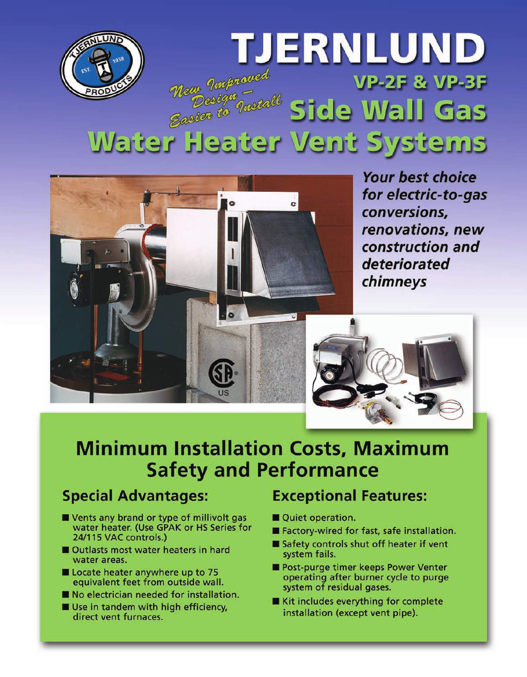



**Your best choice** for electric-to-gas conversions, renovations, new construction and deteriorated chimneys



# **Minimum Installation Costs, Maximum Safety and Performance**

#### **Special Advantages:**

- Vents any brand or type of millivolt gas water heater. (Use GPAK or HS Series for 24/115 VAC controls.)
- Outlasts most water heaters in hard water areas.
- Locate heater anywhere up to 75 equivalent feet from outside wall.
- No electrician needed for installation.
- Use in tandem with high efficiency, direct vent furnaces.

#### **Exceptional Features:**

- Quiet operation.
- Factory-wired for fast, safe installation.
- Safety controls shut off heater if vent system fails.
- Post-purge timer keeps Power Venter operating after burner cycle to purge system of residual gases.
- Kit includes everything for complete installation (except vent pipe).